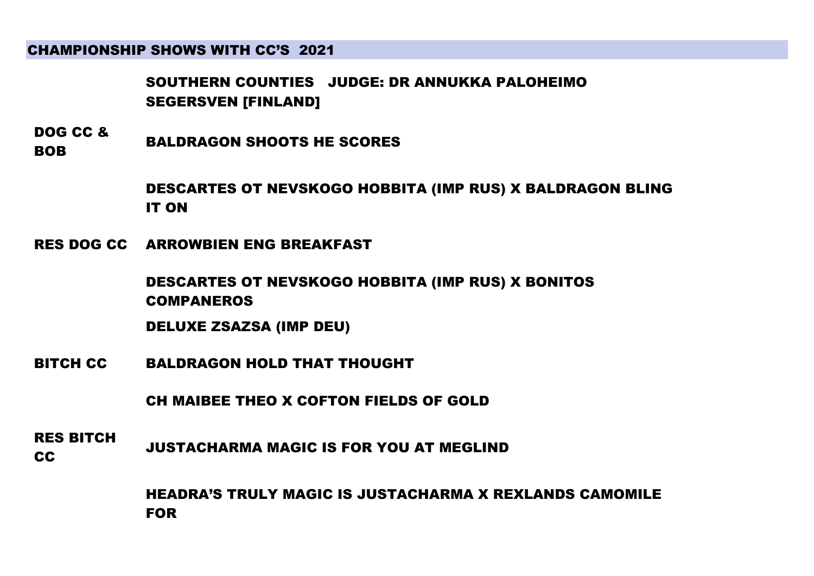SOUTHERN COUNTIES JUDGE: DR ANNUKKA PALOHEIMO SEGERSVEN [FINLAND]

DOG CC & BOB BALDRAGON SHOOTS HE SCORES

> DESCARTES OT NEVSKOGO HOBBITA (IMP RUS) X BALDRAGON BLING IT ON

RES DOG CC ARROWBIEN ENG BREAKFAST

DESCARTES OT NEVSKOGO HOBBITA (IMP RUS) X BONITOS COMPANEROS

DELUXE ZSAZSA (IMP DEU)

BITCH CC BALDRAGON HOLD THAT THOUGHT

CH MAIBEE THEO X COFTON FIELDS OF GOLD

RES BITCH THE STITUTE JUSTACHARMA MAGIC IS FOR YOU AT MEGLIND

> HEADRA'S TRULY MAGIC IS JUSTACHARMA X REXLANDS CAMOMILE FOR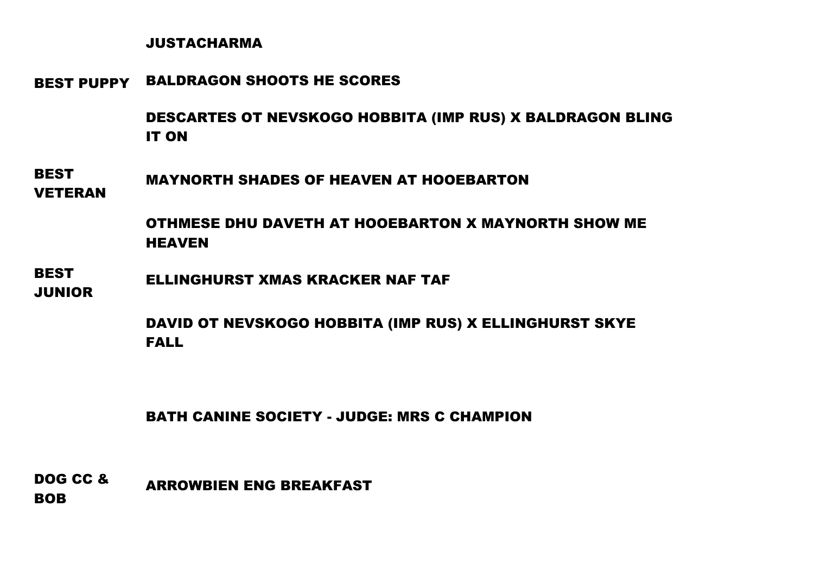### JUSTACHARMA

BEST PUPPY BALDRAGON SHOOTS HE SCORES

DESCARTES OT NEVSKOGO HOBBITA (IMP RUS) X BALDRAGON BLING IT ON

**BEST** VETERAN MAYNORTH SHADES OF HEAVEN AT HOOEBARTON

> OTHMESE DHU DAVETH AT HOOEBARTON X MAYNORTH SHOW ME HEAVEN

**BEST** JUNIOR ELLINGHURST XMAS KRACKER NAF TAF

> DAVID OT NEVSKOGO HOBBITA (IMP RUS) X ELLINGHURST SKYE FALL

BATH CANINE SOCIETY - JUDGE: MRS C CHAMPION

DOG CC & BOB ARROWBIEN ENG BREAKFAST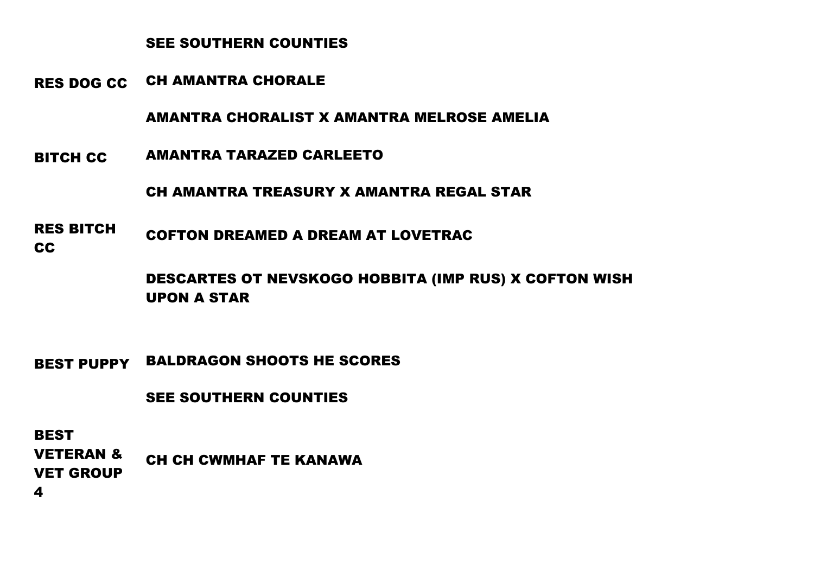## SEE SOUTHERN COUNTIES

RES DOG CC CH AMANTRA CHORALE

AMANTRA CHORALIST X AMANTRA MELROSE AMELIA

BITCH CC AMANTRA TARAZED CARLEETO

CH AMANTRA TREASURY X AMANTRA REGAL STAR

RES BITCH CC COFTON DREAMED A DREAM AT LOVETRAC

> DESCARTES OT NEVSKOGO HOBBITA (IMP RUS) X COFTON WISH UPON A STAR

BEST PUPPY BALDRAGON SHOOTS HE SCORES

SEE SOUTHERN COUNTIES

**BEST** 

VETERAN & VET GROUP CH CH CWMHAF TE KANAWA

4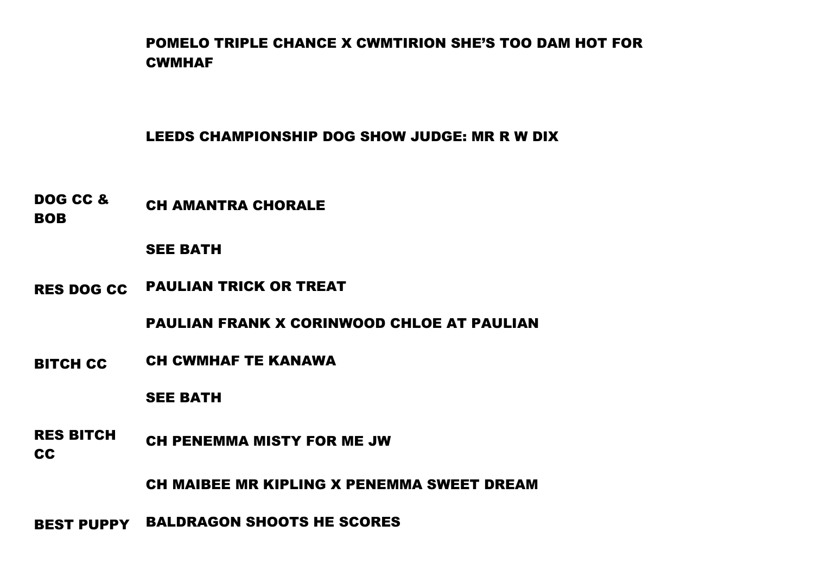POMELO TRIPLE CHANCE X CWMTIRION SHE'S TOO DAM HOT FOR **CWMHAF** 

## LEEDS CHAMPIONSHIP DOG SHOW JUDGE: MR R W DIX

DOG CC & BOB CH AMANTRA CHORALE

### SEE BATH

RES DOG CC PAULIAN TRICK OR TREAT

PAULIAN FRANK X CORINWOOD CHLOE AT PAULIAN

BITCH CC CH CWMHAF TE KANAWA

SEE BATH

RES BITCH CC CH PENEMMA MISTY FOR ME JW

CH MAIBEE MR KIPLING X PENEMMA SWEET DREAM

BEST PUPPY BALDRAGON SHOOTS HE SCORES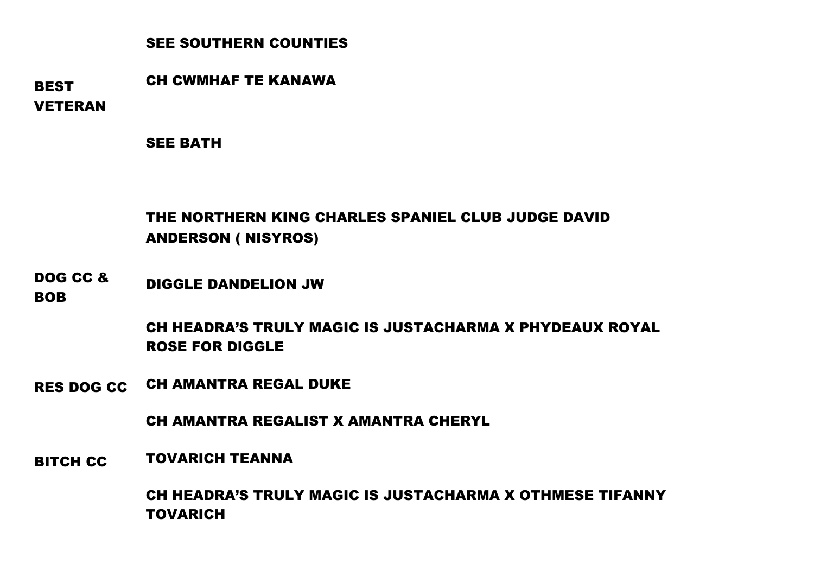# SEE SOUTHERN COUNTIES

**BEST** VETERAN CH CWMHAF TE KANAWA

SEE BATH

# THE NORTHERN KING CHARLES SPANIEL CLUB JUDGE DAVID ANDERSON ( NISYROS)

DOG CC & DIGGLE DANDELION JW

**BOB** 

CH HEADRA'S TRULY MAGIC IS JUSTACHARMA X PHYDEAUX ROYAL ROSE FOR DIGGLE

RES DOG CC CH AMANTRA REGAL DUKE

CH AMANTRA REGALIST X AMANTRA CHERYL

BITCH CC TOVARICH TEANNA

CH HEADRA'S TRULY MAGIC IS JUSTACHARMA X OTHMESE TIFANNY TOVARICH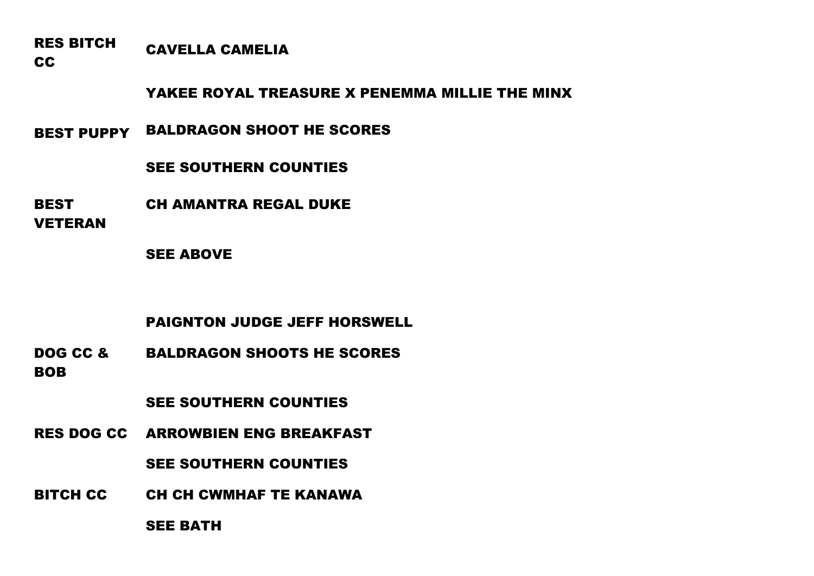RES BITCH CAVELLA CAMELIA

CC

YAKEE ROYAL TREASURE X PENEMMA MILLIE THE MINX

BEST PUPPY BALDRAGON SHOOT HE SCORES

SEE SOUTHERN COUNTIES

BEST CH AMANTRA REGAL DUKE

VETERAN

SEE ABOVE

PAIGNTON JUDGE JEFF HORSWELL

DOG CC & BOB BALDRAGON SHOOTS HE SCORES

SEE SOUTHERN COUNTIES

RES DOG CC ARROWBIEN ENG BREAKFAST

SEE SOUTHERN COUNTIES

BITCH CC CH CH CWMHAF TE KANAWA

SEE BATH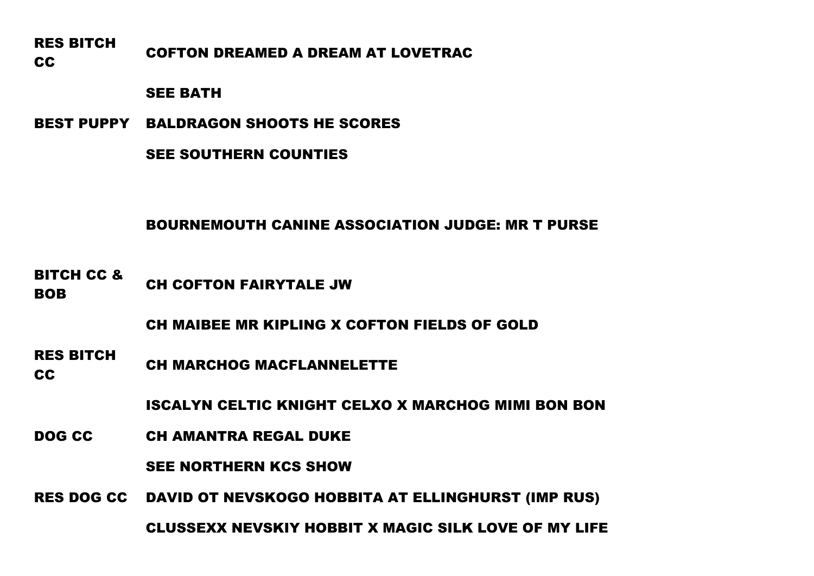RES BITCH RES BITSIT COFTON DREAMED A DREAM AT LOVETRAC

### SEE BATH

BEST PUPPY BALDRAGON SHOOTS HE SCORES

SEE SOUTHERN COUNTIES

# BOURNEMOUTH CANINE ASSOCIATION JUDGE: MR T PURSE

BITCH CC & BOB CH COFTON FAIRYTALE JW

CH MAIBEE MR KIPLING X COFTON FIELDS OF GOLD

RES BITCH CH MARCHOG MACFLANNELETTE

ISCALYN CELTIC KNIGHT CELXO X MARCHOG MIMI BON BON

DOG CC CH AMANTRA REGAL DUKE

SEE NORTHERN KCS SHOW

RES DOG CC DAVID OT NEVSKOGO HOBBITA AT ELLINGHURST (IMP RUS)

CLUSSEXX NEVSKIY HOBBIT X MAGIC SILK LOVE OF MY LIFE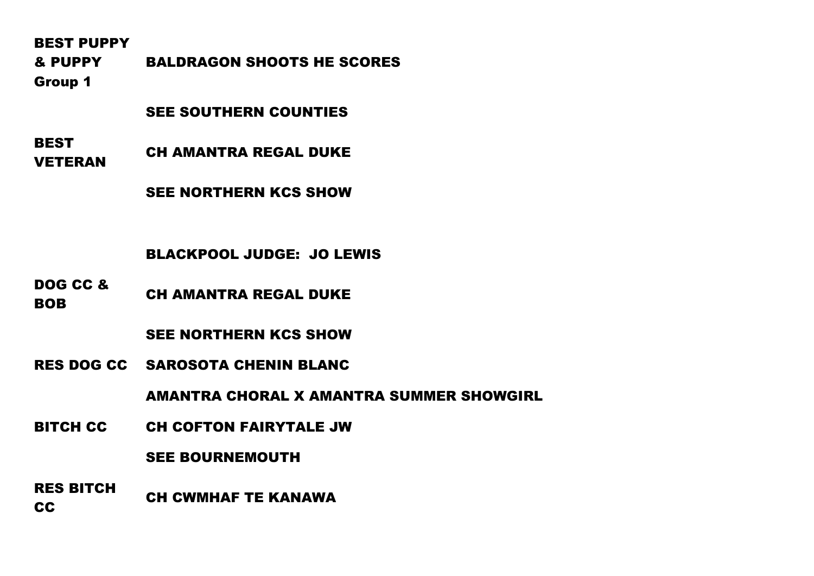BEST PUPPY

& PUPPY Group 1 BALDRAGON SHOOTS HE SCORES

### SEE SOUTHERN COUNTIES

**BEST** VETERAN CH AMANTRA REGAL DUKE

SEE NORTHERN KCS SHOW

### BLACKPOOL JUDGE: JO LEWIS

DOG CC & **BOB** CH AMANTRA REGAL DUKE

## SEE NORTHERN KCS SHOW

RES DOG CC SAROSOTA CHENIN BLANC

AMANTRA CHORAL X AMANTRA SUMMER SHOWGIRL

BITCH CC CH COFTON FAIRYTALE JW

### SEE BOURNEMOUTH

RES BITCH CC CH CWMHAF TE KANAWA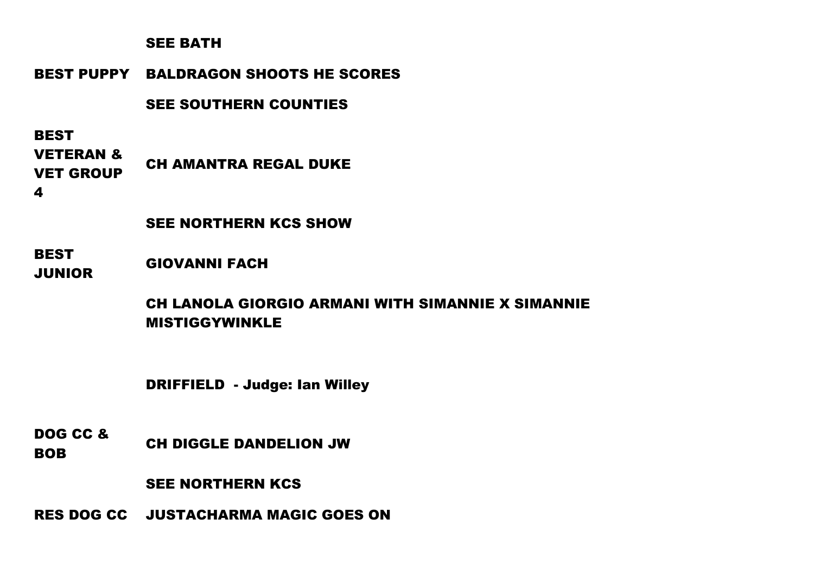## SEE BATH

# BEST PUPPY BALDRAGON SHOOTS HE SCORES

# SEE SOUTHERN COUNTIES

# **BEST**

VETERAN & VET GROUP CH AMANTRA REGAL DUKE

4

# SEE NORTHERN KCS SHOW

### **BEST** JUNIOR GIOVANNI FACH

# CH LANOLA GIORGIO ARMANI WITH SIMANNIE X SIMANNIE MISTIGGYWINKLE

DRIFFIELD - Judge: Ian Willey

DOG CC & BOB CH DIGGLE DANDELION JW

SEE NORTHERN KCS

RES DOG CC JUSTACHARMA MAGIC GOES ON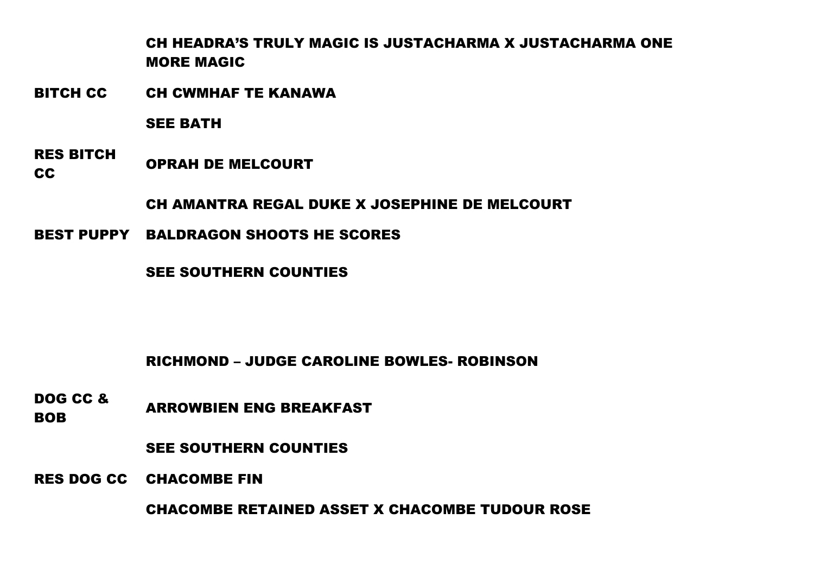CH HEADRA'S TRULY MAGIC IS JUSTACHARMA X JUSTACHARMA ONE MORE MAGIC

BITCH CC CH CWMHAF TE KANAWA

SEE BATH

RES BITCH CC OPRAH DE MELCOURT

CH AMANTRA REGAL DUKE X JOSEPHINE DE MELCOURT

BEST PUPPY BALDRAGON SHOOTS HE SCORES

SEE SOUTHERN COUNTIES

RICHMOND – JUDGE CAROLINE BOWLES- ROBINSON

DOG CC & **BOB** ARROWBIEN ENG BREAKFAST

SEE SOUTHERN COUNTIES

RES DOG CC CHACOMBE FIN

CHACOMBE RETAINED ASSET X CHACOMBE TUDOUR ROSE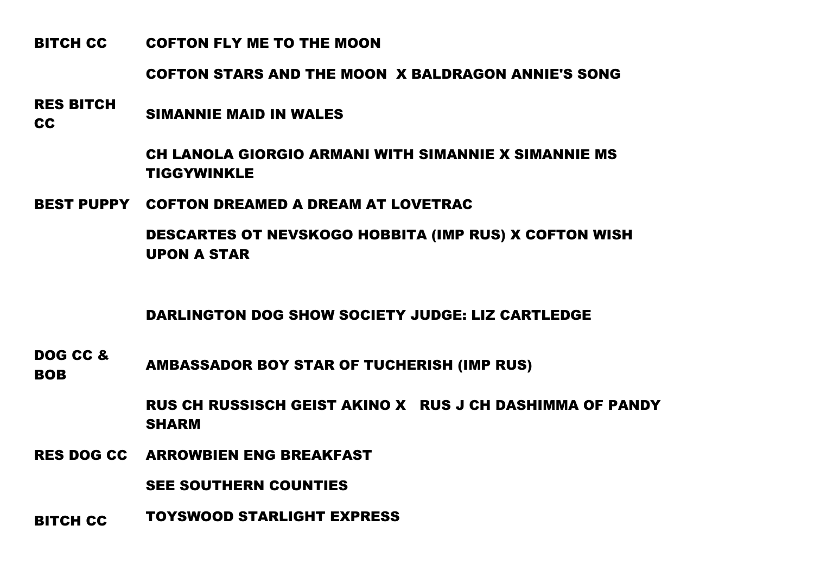### BITCH CC COFTON FLY ME TO THE MOON

COFTON STARS AND THE MOON X BALDRAGON ANNIE'S SONG

RES BITCH CC SIMANNIE MAID IN WALES

CH LANOLA GIORGIO ARMANI WITH SIMANNIE X SIMANNIE MS TIGGYWINKLE

BEST PUPPY COFTON DREAMED A DREAM AT LOVETRAC

DESCARTES OT NEVSKOGO HOBBITA (IMP RUS) X COFTON WISH UPON A STAR

DARLINGTON DOG SHOW SOCIETY JUDGE: LIZ CARTLEDGE

DOG CC & BOB AMBASSADOR BOY STAR OF TUCHERISH (IMP RUS)

> RUS CH RUSSISCH GEIST AKINO X RUS J CH DASHIMMA OF PANDY SHARM

RES DOG CC ARROWBIEN ENG BREAKFAST

SEE SOUTHERN COUNTIES

BITCH CC TOYSWOOD STARLIGHT EXPRESS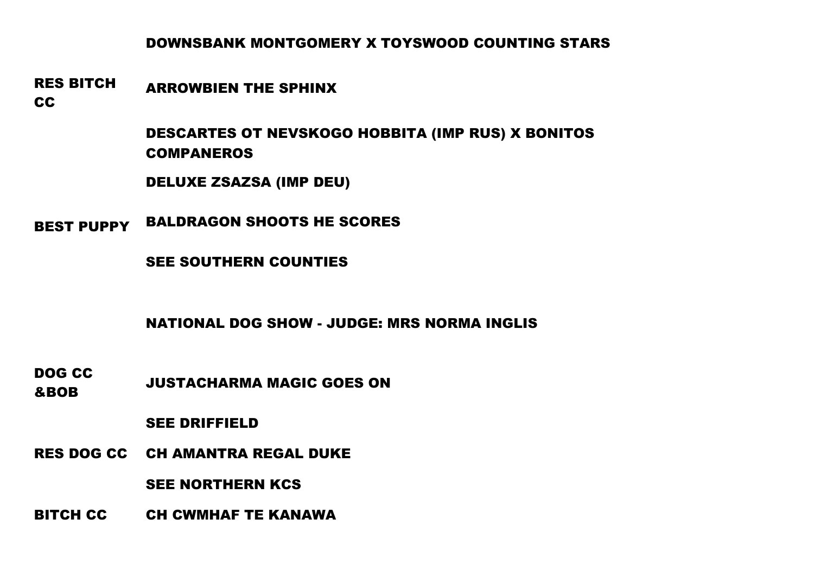# DOWNSBANK MONTGOMERY X TOYSWOOD COUNTING STARS

#### RES BITCH ARROWBIEN THE SPHINX

CC

DESCARTES OT NEVSKOGO HOBBITA (IMP RUS) X BONITOS COMPANEROS

DELUXE ZSAZSA (IMP DEU)

BEST PUPPY BALDRAGON SHOOTS HE SCORES

SEE SOUTHERN COUNTIES

NATIONAL DOG SHOW - JUDGE: MRS NORMA INGLIS

DOG CC &BOB JUSTACHARMA MAGIC GOES ON

SEE DRIFFIELD

RES DOG CC CH AMANTRA REGAL DUKE

SEE NORTHERN KCS

BITCH CC CH CWMHAF TE KANAWA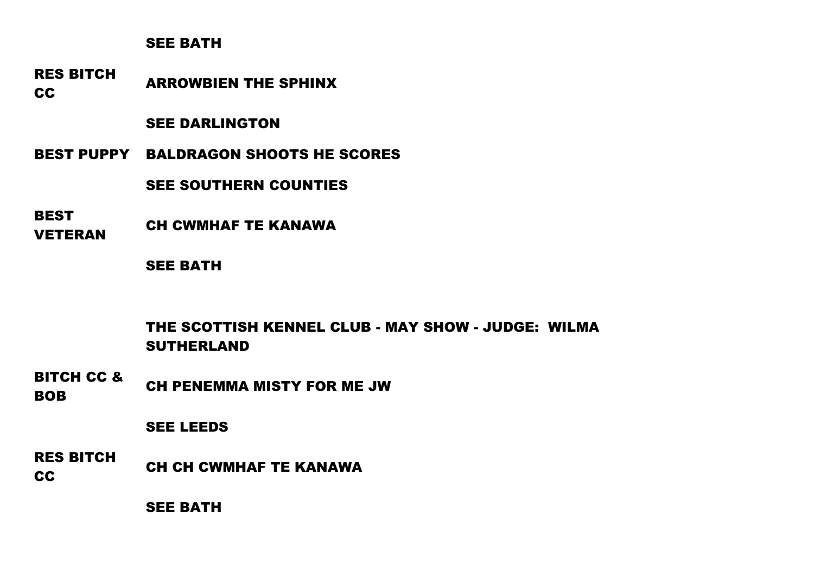### SEE BATH

RES BITCH CC ARROWBIEN THE SPHINX

### SEE DARLINGTON

BEST PUPPY BALDRAGON SHOOTS HE SCORES

SEE SOUTHERN COUNTIES

**BEST** 

**VETERAN CH CWMHAF TE KANAWA** 

SEE BATH

THE SCOTTISH KENNEL CLUB - MAY SHOW - JUDGE: WILMA SUTHERLAND

BITCH CC & BOB CH PENEMMA MISTY FOR ME JW

### SEE LEEDS

RES BITCH CC CHECH CH CWMHAF TE KANAWA

SEE BATH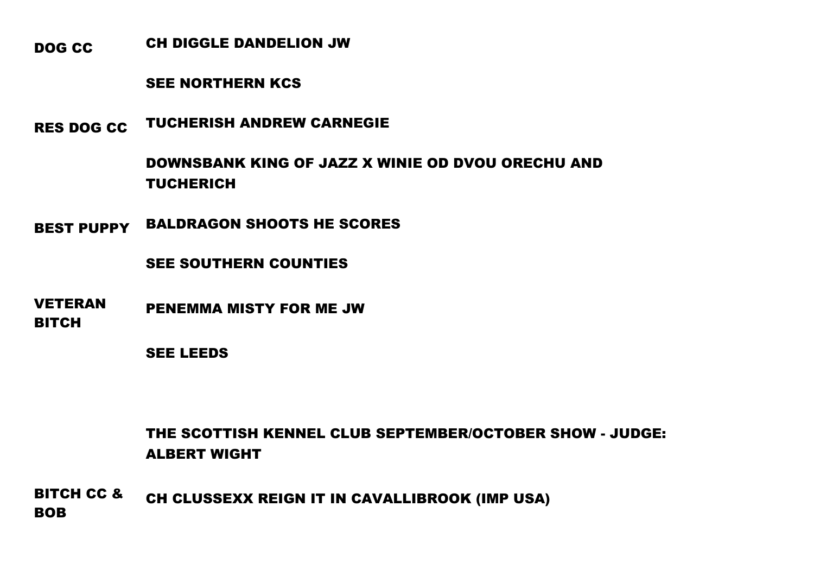DOG CC CH DIGGLE DANDELION JW

### SEE NORTHERN KCS

RES DOG CC TUCHERISH ANDREW CARNEGIE

DOWNSBANK KING OF JAZZ X WINIE OD DVOU ORECHU AND **TUCHERICH** 

BEST PUPPY BALDRAGON SHOOTS HE SCORES

SEE SOUTHERN COUNTIES

VETERAN BITCH PENEMMA MISTY FOR ME JW

SEE LEEDS

THE SCOTTISH KENNEL CLUB SEPTEMBER/OCTOBER SHOW - JUDGE: ALBERT WIGHT

BITCH CC & BOB CH CLUSSEXX REIGN IT IN CAVALLIBROOK (IMP USA)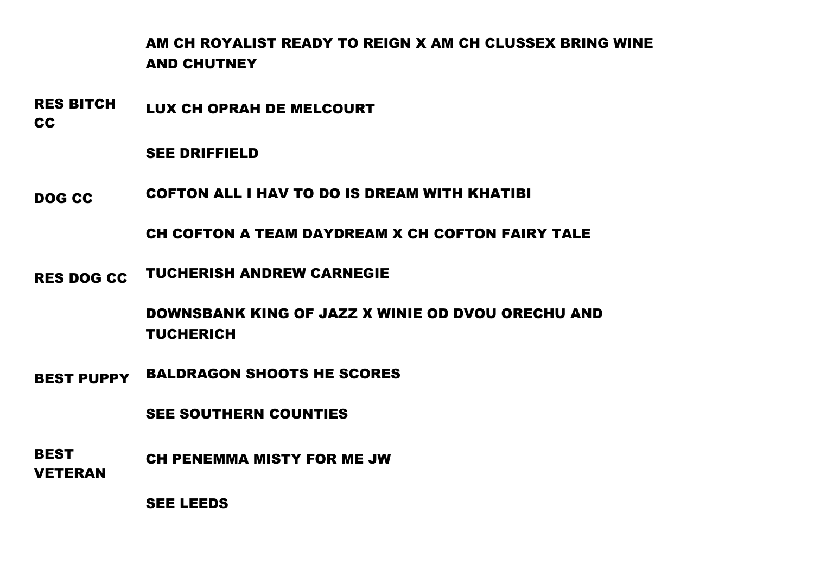# AM CH ROYALIST READY TO REIGN X AM CH CLUSSEX BRING WINE AND CHUTNEY

RES BITCH LUX CH OPRAH DE MELCOURT

CC

SEE DRIFFIELD

DOG CC COFTON ALL I HAV TO DO IS DREAM WITH KHATIBI

CH COFTON A TEAM DAYDREAM X CH COFTON FAIRY TALE

RES DOG CC TUCHERISH ANDREW CARNEGIE

DOWNSBANK KING OF JAZZ X WINIE OD DVOU ORECHU AND TUCHERICH

BEST PUPPY BALDRAGON SHOOTS HE SCORES

SEE SOUTHERN COUNTIES

**BEST** VETERAN CH PENEMMA MISTY FOR ME JW

SEE LEEDS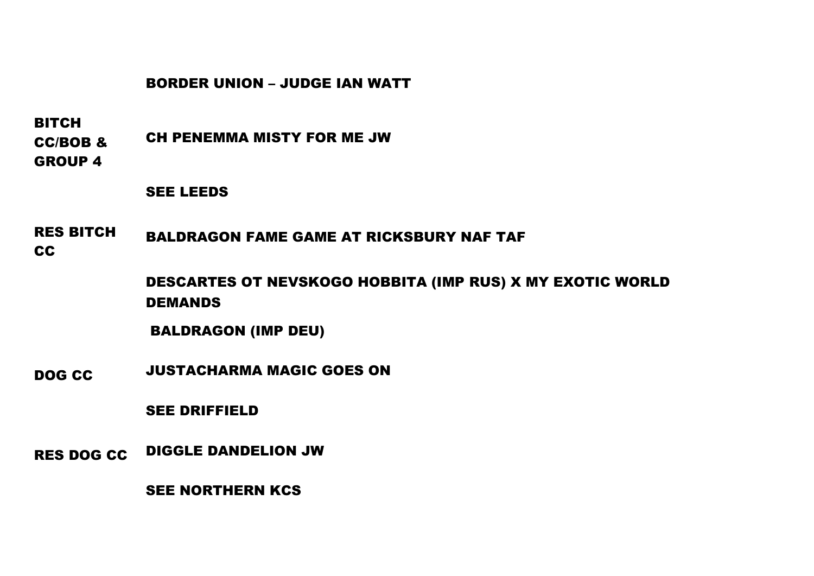## BORDER UNION – JUDGE IAN WATT

BITCH

CC/BOB & CH PENEMMA MISTY FOR ME JW

GROUP 4

SEE LEEDS

RES BITCH CC BALDRAGON FAME GAME AT RICKSBURY NAF TAF

> DESCARTES OT NEVSKOGO HOBBITA (IMP RUS) X MY EXOTIC WORLD DEMANDS

BALDRAGON (IMP DEU)

DOG CC JUSTACHARMA MAGIC GOES ON

SEE DRIFFIELD

RES DOG CC DIGGLE DANDELION JW

SEE NORTHERN KCS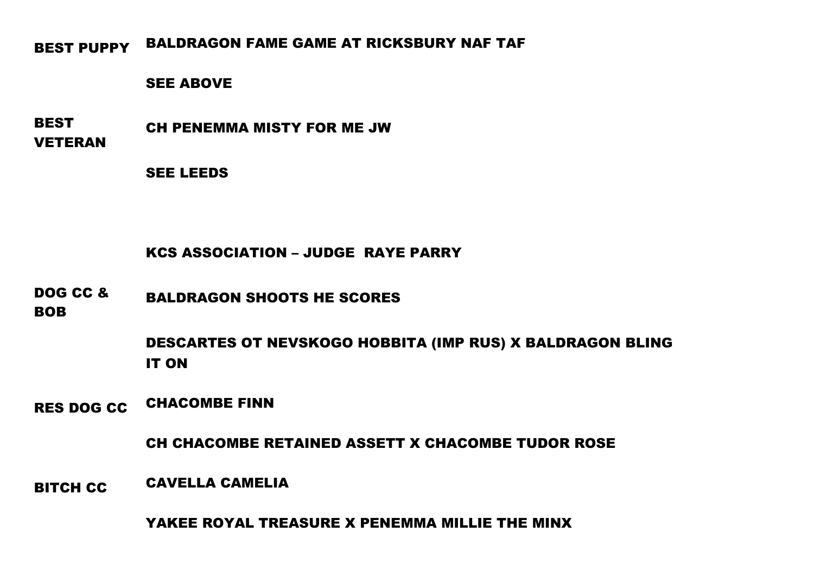BEST PUPPY BALDRAGON FAME GAME AT RICKSBURY NAF TAF

### SEE ABOVE

BEST VETERAN CH PENEMMA MISTY FOR ME JW

SEE LEEDS

# KCS ASSOCIATION – JUDGE RAYE PARRY

DOG CC & BALDRAGON SHOOTS HE SCORES

BOB

DESCARTES OT NEVSKOGO HOBBITA (IMP RUS) X BALDRAGON BLING IT ON

RES DOG CC CHACOMBE FINN

CH CHACOMBE RETAINED ASSETT X CHACOMBE TUDOR ROSE

BITCH CC CAVELLA CAMELIA

YAKEE ROYAL TREASURE X PENEMMA MILLIE THE MINX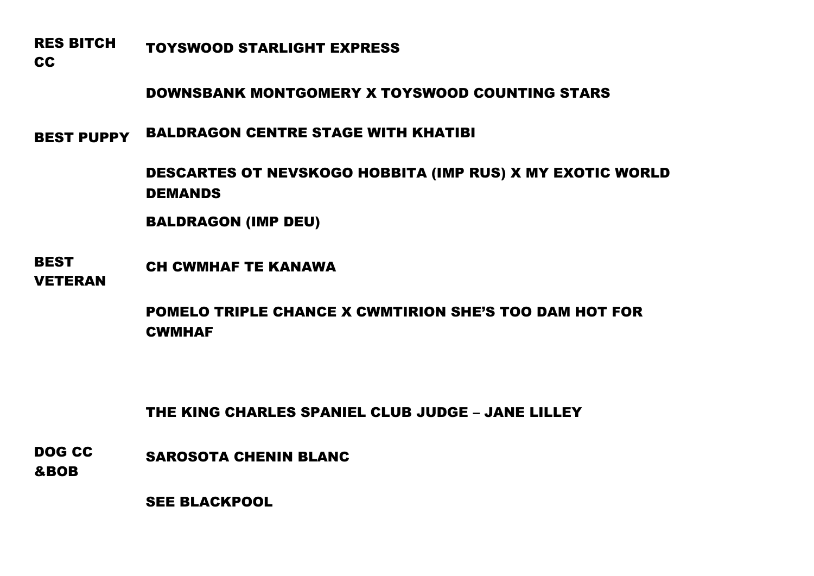RES BITCH TOYSWOOD STARLIGHT EXPRESS

CC

DOWNSBANK MONTGOMERY X TOYSWOOD COUNTING STARS

BEST PUPPY BALDRAGON CENTRE STAGE WITH KHATIBI

DESCARTES OT NEVSKOGO HOBBITA (IMP RUS) X MY EXOTIC WORLD DEMANDS

BALDRAGON (IMP DEU)

BEST VETERAN CH CWMHAF TE KANAWA

> POMELO TRIPLE CHANCE X CWMTIRION SHE'S TOO DAM HOT FOR **CWMHAF**

THE KING CHARLES SPANIEL CLUB JUDGE – JANE LILLEY

DOG CC &BOB SAROSOTA CHENIN BLANC

SEE BLACKPOOL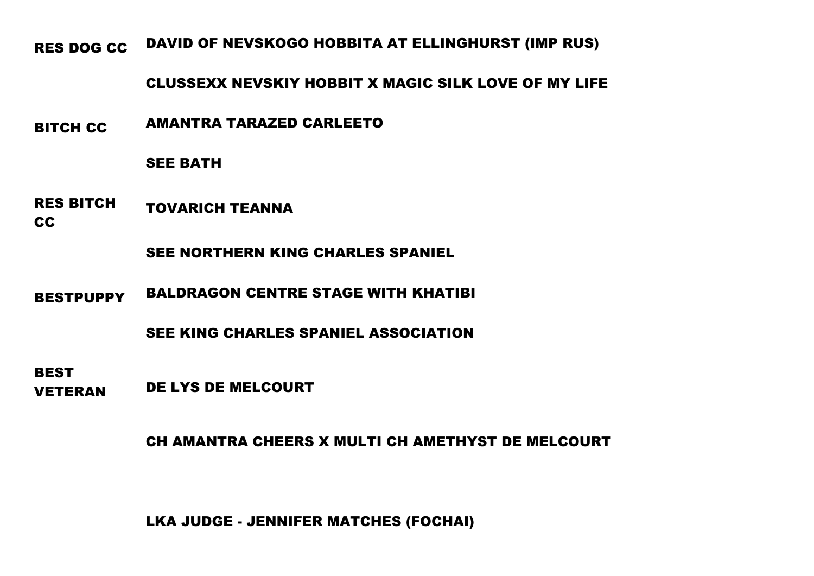RES DOG CC DAVID OF NEVSKOGO HOBBITA AT ELLINGHURST (IMP RUS)

## CLUSSEXX NEVSKIY HOBBIT X MAGIC SILK LOVE OF MY LIFE

BITCH CC AMANTRA TARAZED CARLEETO

### SEE BATH

RES BITCH TOVARICH TEANNA

## CC

SEE NORTHERN KING CHARLES SPANIEL

BESTPUPPY BALDRAGON CENTRE STAGE WITH KHATIBI

SEE KING CHARLES SPANIEL ASSOCIATION

**BEST** VETERAN DE LYS DE MELCOURT

CH AMANTRA CHEERS X MULTI CH AMETHYST DE MELCOURT

LKA JUDGE - JENNIFER MATCHES (FOCHAI)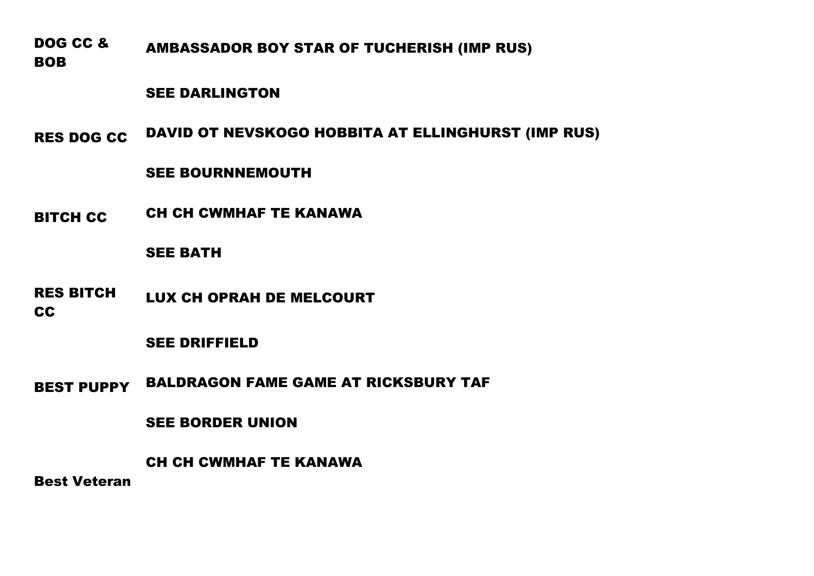DOG CC & BOB AMBASSADOR BOY STAR OF TUCHERISH (IMP RUS)

### SEE DARLINGTON

RES DOG CC DAVID OT NEVSKOGO HOBBITA AT ELLINGHURST (IMP RUS)

## SEE BOURNNEMOUTH

BITCH CC CH CH CWMHAF TE KANAWA

### SEE BATH

RES BITCH CC LUX CH OPRAH DE MELCOURT

### SEE DRIFFIELD

BEST PUPPY BALDRAGON FAME GAME AT RICKSBURY TAF

### SEE BORDER UNION

CH CH CWMHAF TE KANAWA

Best Veteran